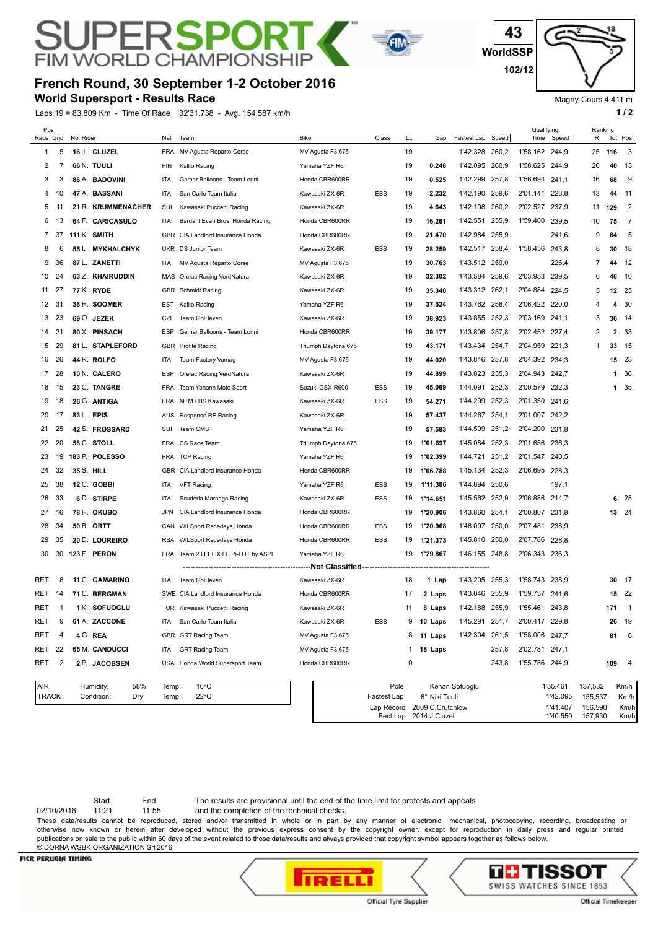## **FIM WORLD CHAMPIONS French Round, 30 September 1-2 October 2016**

RSPO

**World Supersport - Results Race**

PЕ

Laps 19 = 83,809 Km - Time Of Race 32'31.738 - Avg. 154,587 km/h **1 and 2 1 and 2 1 a 1 a 1 a 1 a 1 a 1 a 1 a 1 a 1 a 1 a 1 a 1 a 1 a 1 a 1 a 1 a 1 a 1 a 1 a 1 a 1 a 1 a 1 a** 



Magny-Cours 4.411 m

| Pos<br>Race Grid           |    | No. Rider  |                                       | Nat            | Team                             | <b>Bike</b>         | Class               | LL           | Gap                                          | Fastest Lap Speed |       | Qualifying<br>Time | Speed                                    | R                  | Ranking      | Tot Pos                  |
|----------------------------|----|------------|---------------------------------------|----------------|----------------------------------|---------------------|---------------------|--------------|----------------------------------------------|-------------------|-------|--------------------|------------------------------------------|--------------------|--------------|--------------------------|
| 1                          | 5  |            | 16 J. CLUZEL                          | <b>FRA</b>     | MV Agusta Reparto Corse          | MV Agusta F3 675    |                     | 19           |                                              | 1'42.328 260,2    |       | 1'58.162 244,9     |                                          | 25                 | 116          | 3                        |
| 2                          | 7  |            | 66 N. TUULI                           | <b>FIN</b>     | Kallio Racing                    | Yamaha YZF R6       |                     | 19           | 0.248                                        | 1'42.095 260,9    |       | 1'58.625           | 244,9                                    | 20                 | 40           | -13                      |
| 3                          | 3  |            | 86 A. BADOVINI                        | <b>ITA</b>     | Gemar Balloons - Team Lorini     | Honda CBR600RR      |                     | 19           | 0.525                                        | 1'42.299          | 257,8 | 1'56.694           | 241,1                                    | 16                 | 68           | 9                        |
| 4                          | 10 |            | 47 A. BASSANI                         | <b>ITA</b>     | San Carlo Team Italia            | Kawasaki ZX-6R      | <b>ESS</b>          | 19           | 2.232                                        | 1'42.190          | 259,6 | 2'01.141           | 228,8                                    | 13                 | 44           | - 11                     |
| 5                          | 11 |            | 21 R. KRUMMENACHER                    | SUI            | Kawasaki Puccetti Racing         | Kawasaki ZX-6R      |                     | 19           | 4.643                                        | 1'42.108          | 260,2 | 2'02.527           | 237,9                                    | 11                 | 129          | $\overline{2}$           |
| 6                          | 13 |            | 64 F. CARICASULO                      | ITA            | Bardahl Evan Bros. Honda Racing  | Honda CBR600RR      |                     | 19           | 16.261                                       | 1'42.551          | 255,9 | 1'59.400           | 239,5                                    | 10                 | 75           | $\overline{7}$           |
| 7                          | 37 |            | 111 K. SMITH                          |                | GBR CIA Landlord Insurance Honda | Honda CBR600RR      |                     | 19           | 21.470                                       | 1'42.984 255,9    |       |                    | 241,6                                    | 9                  | 84           | 5                        |
| 8                          | 6  |            | 55 I. MYKHALCHYK                      |                | UKR DS Junior Team               | Kawasaki ZX-6R      | <b>ESS</b>          | 19           | 28.259                                       | 1'42.517 258.4    |       | 1'58.456 243.8     |                                          | 8                  | 30           | -18                      |
| 9                          | 36 |            | 87 L. ZANETTI                         | ITA            | MV Agusta Reparto Corse          | MV Agusta F3 675    |                     | 19           | 30.763                                       | 1'43.512 259,0    |       |                    | 226,4                                    | 7                  | 44           | 12                       |
| 10                         | 24 |            | 63 Z. KHAIRUDDIN                      | MAS            | Orelac Racing VerdNatura         | Kawasaki ZX-6R      |                     | 19           | 32.302                                       | 1'43.584 259,6    |       | 2'03.953           | 239,5                                    | 6                  | 46           | 10                       |
| 11                         | 27 |            | 77 K. RYDE                            |                | GBR Schmidt Racing               | Kawasaki ZX-6R      |                     | 19           | 35.340                                       | 1'43.312 262,1    |       | 2'04.884           | 224,5                                    | 5                  |              | 12 25                    |
| 12                         | 31 |            | 38 H. SOOMER                          | EST            | Kallio Racing                    | Yamaha YZF R6       |                     | 19           | 37.524                                       | 1'43.762 258,4    |       | 2'06.422 220,0     |                                          | 4                  | 4            | 30                       |
| 13                         | 23 |            | 69 O. JEZEK                           | CZE            | <b>Team GoEleven</b>             | Kawasaki ZX-6R      |                     | 19           | 38.923                                       | 1'43.855 252,3    |       | 2'03.169           | 241,1                                    | 3                  | 36           | - 14                     |
| 14                         | 21 |            | 80 X. PINSACH                         | <b>ESP</b>     | Gemar Balloons - Team Lorini     | Honda CBR600RR      |                     | 19           | 39.177                                       | 1'43.806          | 257,8 | 2'02.452           | 227,4                                    | 2                  | $\mathbf{2}$ | 33                       |
| 15                         | 29 |            | 81 L. STAPLEFORD                      | GBR            | <b>Profile Racing</b>            | Triumph Daytona 675 |                     | 19           | 43.171                                       | 1'43.434          | 254,7 | 2'04.959           | 221,3                                    | 1                  | 33           | - 15                     |
| 16                         | 26 |            | 44 R. ROLFO                           | ITA            | Team Factory Vamag               | MV Agusta F3 675    |                     | 19           | 44.020                                       | 1'43.846          | 257,8 | 2'04.392 234.3     |                                          |                    |              | 15 23                    |
| 17                         | 28 |            | 10 N. CALERO                          | <b>ESP</b>     | Orelac Racing VerdNatura         | Kawasaki ZX-6R      |                     | 19           | 44.899                                       | 1'43.823 255,3    |       | 2'04.943 242,7     |                                          |                    | 1            | 36                       |
| 18                         | 15 |            | 23 C. TANGRE                          | <b>FRA</b>     | Team Yohann Moto Sport           | Suzuki GSX-R600     | ESS                 | 19           | 45.069                                       | 1'44.091          | 252,3 | 2'00.579           | 232,3                                    |                    | 1            | 35                       |
| 19                         | 18 |            | 26 G. ANTIGA                          | <b>FRA</b>     | MTM / HS Kawasaki                | Kawasaki ZX-6R      | ESS                 | 19           | 54.271                                       | 1'44.299          | 252,3 | 2'01.350           | 241,6                                    |                    |              |                          |
| 20                         | 17 |            | 83 L. EPIS                            | AUS            | Response RE Racing               | Kawasaki ZX-6R      |                     | 19           | 57.437                                       | 1'44.267          | 254,1 | 2'01.007 242.2     |                                          |                    |              |                          |
| 21                         | 25 |            | 42 S. FROSSARD                        | SUI            | Team CMS                         | Yamaha YZF R6       |                     | 19           | 57.583                                       | 1'44.509          | 251,2 | 2'04.200           | 231,8                                    |                    |              |                          |
| 22                         | 20 |            | 58 C. STOLL                           | <b>FRA</b>     | CS Race Team                     | Triumph Daytona 675 |                     | 19           | 1'01.697                                     | 1'45.084          | 252,3 | 2'01.656 236,3     |                                          |                    |              |                          |
| 23                         | 19 |            | 183 P. POLESSO                        | <b>FRA</b>     | <b>TCP Racing</b>                | Yamaha YZF R6       |                     | 19           | 1'02.399                                     | 1'44.721          | 251,2 | 2'01.547           | 240,5                                    |                    |              |                          |
| 24                         | 32 | 35 S. HILL |                                       | <b>GBR</b>     | CIA Landlord Insurance Honda     | Honda CBR600RR      |                     | 19           | 1'06.788                                     | 1'45.134          | 252,3 | 2'06.695           | 228,3                                    |                    |              |                          |
| 25                         | 38 |            | 12 C. GOBBI                           | <b>ITA</b>     | <b>VFT Racing</b>                | Yamaha YZF R6       | ESS                 | 19           | 1'11.386                                     | 1'44.894          | 250,6 |                    | 197,1                                    |                    |              |                          |
| 26                         | 33 |            | 6 D. STIRPE                           | <b>ITA</b>     | Scuderia Maranga Racing          | Kawasaki ZX-6R      | <b>ESS</b>          | 19           | 1'14.651                                     | 1'45.562          | 252,9 | 2'06.886           | 214,7                                    |                    |              | 628                      |
| 27                         | 16 |            | 78 H. OKUBO                           | <b>JPN</b>     | CIA Landlord Insurance Honda     | Honda CBR600RR      |                     | 19           | 1'20.906                                     | 1'43.860          | 254,1 | 2'00.807           | 231,8                                    |                    |              | 13 24                    |
| 28                         | 34 |            | 50 B. ORTT                            | CAN            | <b>WILSport Racedays Honda</b>   | Honda CBR600RR      | ESS                 | 19           | 1'20.968                                     | 1'46.097          | 250,0 | 2'07.481           | 238,9                                    |                    |              |                          |
| 29                         | 35 |            | 20 D. LOUREIRO                        | <b>RSA</b>     | <b>WILSport Racedays Honda</b>   | Honda CBR600RR      | ESS                 | 19           | 1'21.373                                     | 1'45.810          | 250,0 | 2'07.786           | 228,8                                    |                    |              |                          |
| 30                         | 30 |            | 123 F. PERON                          | FRA            | Team 23 FELIX LE Pi-LOT by ASPI  | Yamaha YZF R6       |                     | 19           | 1'29.867                                     | 1'46.155 248,8    |       | 2'06.343 236.3     |                                          |                    |              |                          |
|                            |    |            |                                       |                |                                  | -Not Classified-    |                     |              |                                              |                   |       |                    |                                          |                    |              |                          |
| RET                        | 8  |            | 11 C. GAMARINO                        | ITA            | <b>Team GoEleven</b>             | Kawasaki ZX-6R      |                     | 18           | 1 Lap                                        | 1'43.205 255,3    |       | 1'58.743           | 238,9                                    |                    |              | 30 17                    |
| RET                        | 14 |            | 71 C. BERGMAN                         | SWE            | CIA Landlord Insurance Honda     | Honda CBR600RR      |                     | 17           | 2 Laps                                       | 1'43.046          | 255,9 | 1'59.757           | 241,6                                    |                    |              | 15 22                    |
| RET                        | -1 |            | 1 K. SOFUOGLU                         |                | TUR Kawasaki Puccetti Racing     | Kawasaki ZX-6R      |                     | 11           | 8 Laps                                       | 1'42.188 255,9    |       | 1'55.461           | 243,8                                    |                    | 171          | $\overline{1}$           |
| RET                        | 9  |            | 61 A. ZACCONE                         | ITA            | San Carlo Team Italia            | Kawasaki ZX-6R      | ESS                 |              | 9 <b>10 Laps</b>                             | 1'45.291 251,7    |       | 2'00.417 229,8     |                                          |                    |              | 26 19                    |
| RET                        | 4  |            | 4 G. REA                              |                | GBR GRT Racing Team              | MV Agusta F3 675    |                     |              | 8 11 Laps                                    | 1'42.304 261,5    |       | 1'58.006 247,7     |                                          |                    | 81           | 6                        |
| RET                        | 22 |            | 65 M. CANDUCCI                        | ITA            | <b>GRT Racing Team</b>           | MV Agusta F3 675    |                     | $\mathbf{1}$ | 18 Laps                                      |                   | 257,8 | 2'02.781 247,1     |                                          |                    |              |                          |
| RET                        | 2  |            | 2 P. JACOBSEN                         |                | USA Honda World Supersport Team  | Honda CBR600RR      |                     | 0            |                                              |                   | 243,8 | 1'55.786 244,9     |                                          |                    | 109          | $\overline{\phantom{a}}$ |
| <b>AIR</b><br><b>TRACK</b> |    |            | Humidity:<br>58%<br>Condition:<br>Dry | Temp:<br>Temp: | $16^{\circ}$ C<br>$22^{\circ}$ C |                     | Pole<br>Fastest Lap |              | 6° Niki Tuuli<br>Lan Record 2009 C Crutchlow | Kenan Sofuoglu    |       |                    | 1'55.461<br>1'42.095<br>1'41 407 156 590 | 137,532<br>155,537 |              | Km/h<br>Km/h<br>Km/h     |

Start End The results are provisional until the end of the time limit for protests and appeals

02/10/2016 11:21 11:55 and the completion of the technical checks.

These data/results cannot be reproduced, stored and/or transmitted in whole or in part by any manner of electronic, mechanical, photocopying, recording, broadcasting or otherwise now known or herein after developed without the previous express consent by the copyright owner, except for reproduction in daily press and regular printed publications on sale to the public within 60 days of the event related to those data/results and always provided that copyright symbol appears together as follows below. © DORNA WSBK ORGANIZATION Srl 2016

## **FICR PERUGIA TIMING**





Best Lap 2014 J.Cluzel

Lap Record 2009 C.Crutchlow 1'41.407

Km/h

1'40.550 157,930